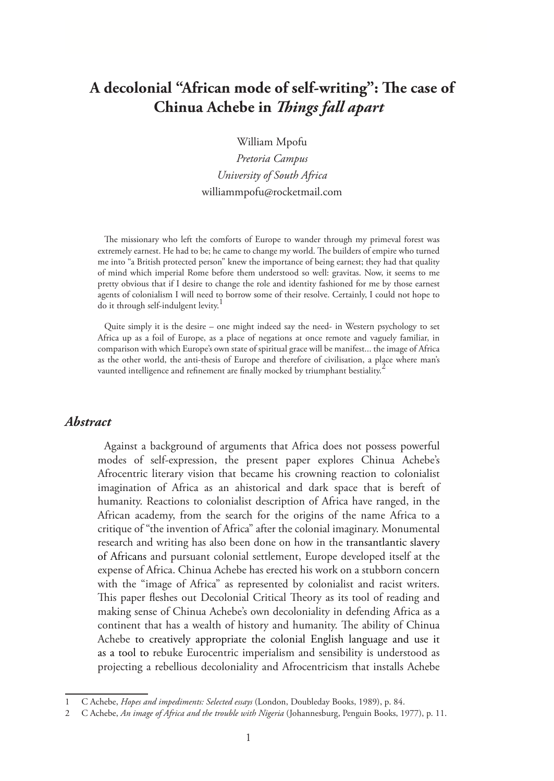# **A decolonial "African mode of self-writing": The case of Chinua Achebe in** *Things fall apart*

William Mpofu

*Pretoria Campus University of South Africa* williammpofu@rocketmail.com

The missionary who left the comforts of Europe to wander through my primeval forest was extremely earnest. He had to be; he came to change my world. The builders of empire who turned me into "a British protected person" knew the importance of being earnest; they had that quality of mind which imperial Rome before them understood so well: gravitas. Now, it seems to me pretty obvious that if I desire to change the role and identity fashioned for me by those earnest agents of colonialism I will need to borrow some of their resolve. Certainly, I could not hope to do it through self-indulgent levity.<sup>1</sup>

Quite simply it is the desire – one might indeed say the need- in Western psychology to set Africa up as a foil of Europe, as a place of negations at once remote and vaguely familiar, in comparison with which Europe's own state of spiritual grace will be manifest... the image of Africa as the other world, the anti-thesis of Europe and therefore of civilisation, a place where man's vaunted intelligence and refinement are finally mocked by triumphant bestiality.<sup>4</sup>

#### *Abstract*

Against a background of arguments that Africa does not possess powerful modes of self-expression, the present paper explores Chinua Achebe's Afrocentric literary vision that became his crowning reaction to colonialist imagination of Africa as an ahistorical and dark space that is bereft of humanity. Reactions to colonialist description of Africa have ranged, in the African academy, from the search for the origins of the name Africa to a critique of "the invention of Africa" after the colonial imaginary. Monumental research and writing has also been done on how in the transantlantic slavery of Africans and pursuant colonial settlement, Europe developed itself at the expense of Africa. Chinua Achebe has erected his work on a stubborn concern with the "image of Africa" as represented by colonialist and racist writers. This paper fleshes out Decolonial Critical Theory as its tool of reading and making sense of Chinua Achebe's own decoloniality in defending Africa as a continent that has a wealth of history and humanity. The ability of Chinua Achebe to creatively appropriate the colonial English language and use it as a tool to rebuke Eurocentric imperialism and sensibility is understood as projecting a rebellious decoloniality and Afrocentricism that installs Achebe

<sup>1</sup> C Achebe, *Hopes and impediments: Selected essays* (London, Doubleday Books, 1989), p. 84.

<sup>2</sup> C Achebe, *An image of Africa and the trouble with Nigeria* (Johannesburg, Penguin Books, 1977), p. 11.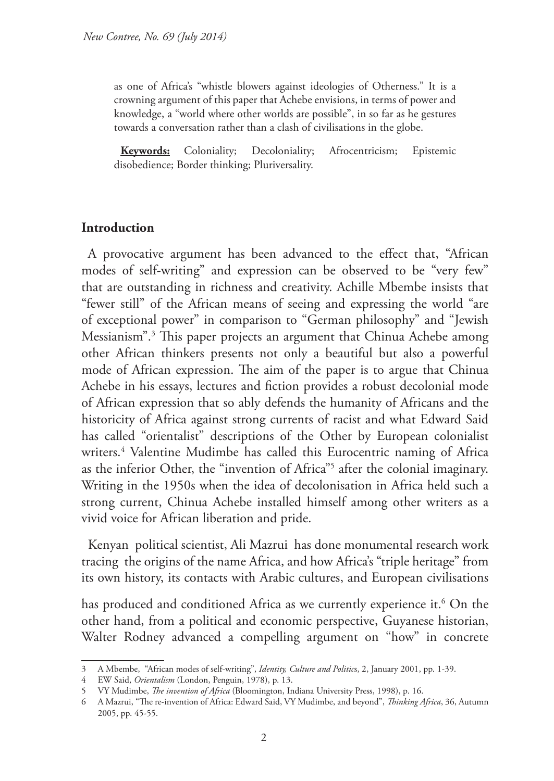as one of Africa's "whistle blowers against ideologies of Otherness." It is a crowning argument of this paper that Achebe envisions, in terms of power and knowledge, a "world where other worlds are possible", in so far as he gestures towards a conversation rather than a clash of civilisations in the globe.

**Keywords:** Coloniality; Decoloniality; Afrocentricism; Epistemic disobedience; Border thinking; Pluriversality.

# **Introduction**

A provocative argument has been advanced to the effect that, "African modes of self-writing" and expression can be observed to be "very few" that are outstanding in richness and creativity. Achille Mbembe insists that "fewer still" of the African means of seeing and expressing the world "are of exceptional power" in comparison to "German philosophy" and "Jewish Messianism".3 This paper projects an argument that Chinua Achebe among other African thinkers presents not only a beautiful but also a powerful mode of African expression. The aim of the paper is to argue that Chinua Achebe in his essays, lectures and fiction provides a robust decolonial mode of African expression that so ably defends the humanity of Africans and the historicity of Africa against strong currents of racist and what Edward Said has called "orientalist" descriptions of the Other by European colonialist writers.4 Valentine Mudimbe has called this Eurocentric naming of Africa as the inferior Other, the "invention of Africa"5 after the colonial imaginary. Writing in the 1950s when the idea of decolonisation in Africa held such a strong current, Chinua Achebe installed himself among other writers as a vivid voice for African liberation and pride.

Kenyan political scientist, Ali Mazrui has done monumental research work tracing the origins of the name Africa, and how Africa's "triple heritage" from its own history, its contacts with Arabic cultures, and European civilisations

has produced and conditioned Africa as we currently experience it.<sup>6</sup> On the other hand, from a political and economic perspective, Guyanese historian, Walter Rodney advanced a compelling argument on "how" in concrete

<sup>3</sup> A Mbembe, "African modes of self-writing", *Identity, Culture and Politic*s, 2, January 2001, pp. 1-39.

<sup>4</sup> EW Said, *Orientalism* (London, Penguin, 1978), p. 13.

<sup>5</sup> VY Mudimbe, *The invention of Africa* (Bloomington, Indiana University Press, 1998), p. 16.

<sup>6</sup> A Mazrui, "The re-invention of Africa: Edward Said, VY Mudimbe, and beyond", *Thinking Africa*, 36, Autumn 2005, pp. 45-55.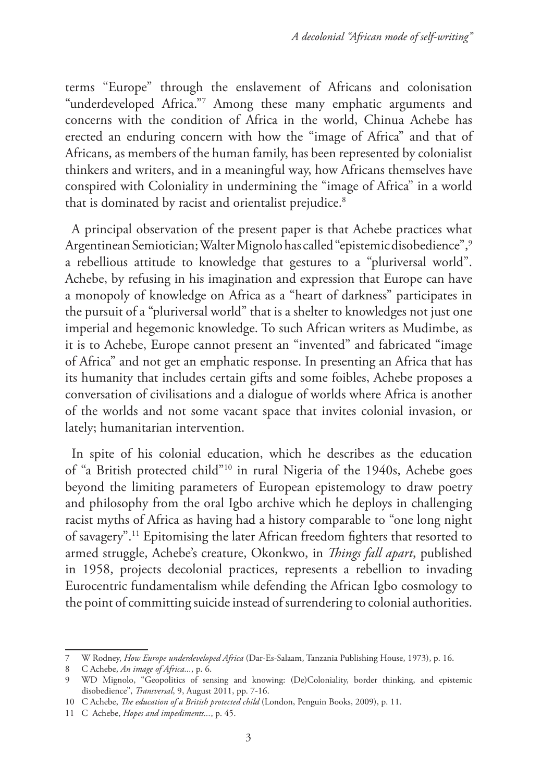terms "Europe" through the enslavement of Africans and colonisation "underdeveloped Africa."7 Among these many emphatic arguments and concerns with the condition of Africa in the world, Chinua Achebe has erected an enduring concern with how the "image of Africa" and that of Africans, as members of the human family, has been represented by colonialist thinkers and writers, and in a meaningful way, how Africans themselves have conspired with Coloniality in undermining the "image of Africa" in a world that is dominated by racist and orientalist prejudice.<sup>8</sup>

A principal observation of the present paper is that Achebe practices what Argentinean Semiotician; Walter Mignolo has called "epistemic disobedience",9 a rebellious attitude to knowledge that gestures to a "pluriversal world". Achebe, by refusing in his imagination and expression that Europe can have a monopoly of knowledge on Africa as a "heart of darkness" participates in the pursuit of a "pluriversal world" that is a shelter to knowledges not just one imperial and hegemonic knowledge. To such African writers as Mudimbe, as it is to Achebe, Europe cannot present an "invented" and fabricated "image of Africa" and not get an emphatic response. In presenting an Africa that has its humanity that includes certain gifts and some foibles, Achebe proposes a conversation of civilisations and a dialogue of worlds where Africa is another of the worlds and not some vacant space that invites colonial invasion, or lately; humanitarian intervention.

In spite of his colonial education, which he describes as the education of "a British protected child"10 in rural Nigeria of the 1940s, Achebe goes beyond the limiting parameters of European epistemology to draw poetry and philosophy from the oral Igbo archive which he deploys in challenging racist myths of Africa as having had a history comparable to "one long night of savagery".11 Epitomising the later African freedom fighters that resorted to armed struggle, Achebe's creature, Okonkwo, in *Things fall apart*, published in 1958, projects decolonial practices, represents a rebellion to invading Eurocentric fundamentalism while defending the African Igbo cosmology to the point of committing suicide instead of surrendering to colonial authorities.

<sup>7</sup> W Rodney, *How Europe underdeveloped Africa* (Dar-Es-Salaam, Tanzania Publishing House, 1973), p. 16.

<sup>8</sup> C Achebe, *An image of Africa...*, p. 6.

<sup>9</sup> WD Mignolo, "Geopolitics of sensing and knowing: (De)Coloniality, border thinking, and epistemic disobedience", *Transversal*, 9, August 2011, pp. 7-16.

<sup>10</sup> C Achebe, *The education of a British protected child* (London, Penguin Books, 2009), p. 11.

<sup>11</sup> C Achebe, *Hopes and impediments...*, p. 45.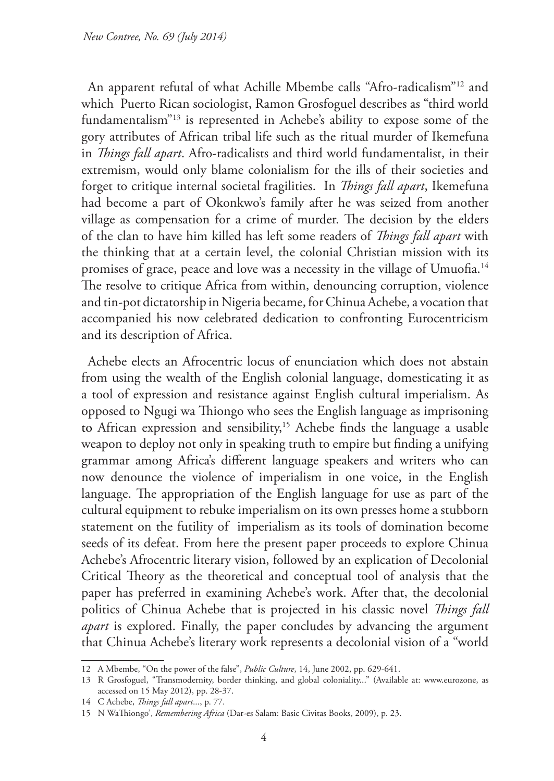An apparent refutal of what Achille Mbembe calls "Afro-radicalism"12 and which Puerto Rican sociologist, Ramon Grosfoguel describes as "third world fundamentalism"13 is represented in Achebe's ability to expose some of the gory attributes of African tribal life such as the ritual murder of Ikemefuna in *Things fall apart*. Afro-radicalists and third world fundamentalist, in their extremism, would only blame colonialism for the ills of their societies and forget to critique internal societal fragilities. In *Things fall apart*, Ikemefuna had become a part of Okonkwo's family after he was seized from another village as compensation for a crime of murder. The decision by the elders of the clan to have him killed has left some readers of *Things fall apart* with the thinking that at a certain level, the colonial Christian mission with its promises of grace, peace and love was a necessity in the village of Umuofia.<sup>14</sup> The resolve to critique Africa from within, denouncing corruption, violence and tin-pot dictatorship in Nigeria became, for Chinua Achebe, a vocation that accompanied his now celebrated dedication to confronting Eurocentricism and its description of Africa.

Achebe elects an Afrocentric locus of enunciation which does not abstain from using the wealth of the English colonial language, domesticating it as a tool of expression and resistance against English cultural imperialism. As opposed to Ngugi wa Thiongo who sees the English language as imprisoning to African expression and sensibility,15 Achebe finds the language a usable weapon to deploy not only in speaking truth to empire but finding a unifying grammar among Africa's different language speakers and writers who can now denounce the violence of imperialism in one voice, in the English language. The appropriation of the English language for use as part of the cultural equipment to rebuke imperialism on its own presses home a stubborn statement on the futility of imperialism as its tools of domination become seeds of its defeat. From here the present paper proceeds to explore Chinua Achebe's Afrocentric literary vision, followed by an explication of Decolonial Critical Theory as the theoretical and conceptual tool of analysis that the paper has preferred in examining Achebe's work. After that, the decolonial politics of Chinua Achebe that is projected in his classic novel *Things fall apart* is explored. Finally, the paper concludes by advancing the argument that Chinua Achebe's literary work represents a decolonial vision of a "world

<sup>12</sup> A Mbembe, "On the power of the false", *Public Culture*, 14, June 2002, pp. 629-641.

<sup>13</sup> R Grosfoguel, "Transmodernity, border thinking, and global coloniality..." (Available at: www.eurozone, as accessed on 15 May 2012), pp. 28-37.

<sup>14</sup> C Achebe, *Things fall apart*..., p. 77.

<sup>15</sup> N WaThiongo', *Remembering Africa* (Dar-es Salam: Basic Civitas Books, 2009), p. 23.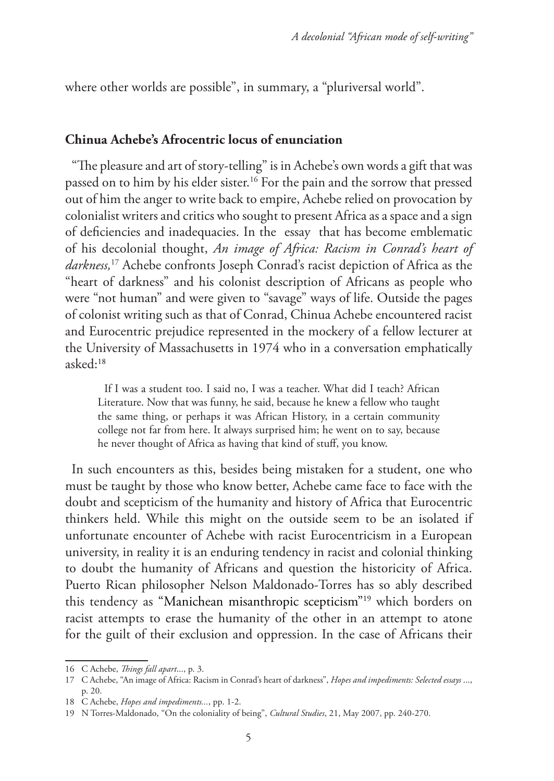where other worlds are possible", in summary, a "pluriversal world".

### **Chinua Achebe's Afrocentric locus of enunciation**

"The pleasure and art of story-telling" is in Achebe's own words a gift that was passed on to him by his elder sister.<sup>16</sup> For the pain and the sorrow that pressed out of him the anger to write back to empire, Achebe relied on provocation by colonialist writers and critics who sought to present Africa as a space and a sign of deficiencies and inadequacies. In the essay that has become emblematic of his decolonial thought, *An image of Africa: Racism in Conrad's heart of darkness,*17 Achebe confronts Joseph Conrad's racist depiction of Africa as the "heart of darkness" and his colonist description of Africans as people who were "not human" and were given to "savage" ways of life. Outside the pages of colonist writing such as that of Conrad, Chinua Achebe encountered racist and Eurocentric prejudice represented in the mockery of a fellow lecturer at the University of Massachusetts in 1974 who in a conversation emphatically asked:18

If I was a student too. I said no, I was a teacher. What did I teach? African Literature. Now that was funny, he said, because he knew a fellow who taught the same thing, or perhaps it was African History, in a certain community college not far from here. It always surprised him; he went on to say, because he never thought of Africa as having that kind of stuff, you know.

In such encounters as this, besides being mistaken for a student, one who must be taught by those who know better, Achebe came face to face with the doubt and scepticism of the humanity and history of Africa that Eurocentric thinkers held. While this might on the outside seem to be an isolated if unfortunate encounter of Achebe with racist Eurocentricism in a European university, in reality it is an enduring tendency in racist and colonial thinking to doubt the humanity of Africans and question the historicity of Africa. Puerto Rican philosopher Nelson Maldonado-Torres has so ably described this tendency as "Manichean misanthropic scepticism"19 which borders on racist attempts to erase the humanity of the other in an attempt to atone for the guilt of their exclusion and oppression. In the case of Africans their

<sup>16</sup> C Achebe, *Things fall apart*..., p. 3.

<sup>17</sup> C Achebe, "An image of Africa: Racism in Conrad's heart of darkness", *Hopes and impediments: Selected essays* ..., p. 20.

<sup>18</sup> C Achebe, *Hopes and impediments...*, pp. 1-2.

<sup>19</sup> N Torres-Maldonado, "On the coloniality of being", *Cultural Studies*, 21, May 2007, pp. 240-270.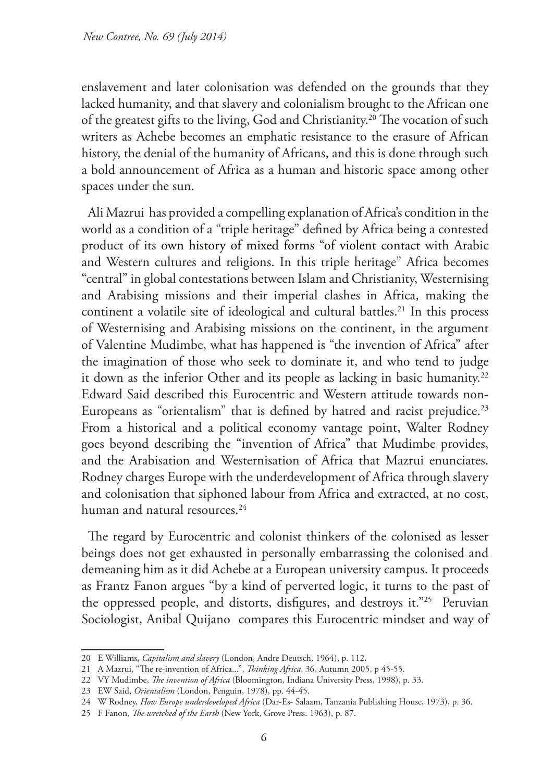enslavement and later colonisation was defended on the grounds that they lacked humanity, and that slavery and colonialism brought to the African one of the greatest gifts to the living, God and Christianity.<sup>20</sup> The vocation of such writers as Achebe becomes an emphatic resistance to the erasure of African history, the denial of the humanity of Africans, and this is done through such a bold announcement of Africa as a human and historic space among other spaces under the sun.

Ali Mazrui has provided a compelling explanation of Africa's condition in the world as a condition of a "triple heritage" defined by Africa being a contested product of its own history of mixed forms "of violent contact with Arabic and Western cultures and religions. In this triple heritage" Africa becomes "central" in global contestations between Islam and Christianity, Westernising and Arabising missions and their imperial clashes in Africa, making the continent a volatile site of ideological and cultural battles.<sup>21</sup> In this process of Westernising and Arabising missions on the continent, in the argument of Valentine Mudimbe, what has happened is "the invention of Africa" after the imagination of those who seek to dominate it, and who tend to judge it down as the inferior Other and its people as lacking in basic humanity.<sup>22</sup> Edward Said described this Eurocentric and Western attitude towards non-Europeans as "orientalism" that is defined by hatred and racist prejudice.<sup>23</sup> From a historical and a political economy vantage point, Walter Rodney goes beyond describing the "invention of Africa" that Mudimbe provides, and the Arabisation and Westernisation of Africa that Mazrui enunciates. Rodney charges Europe with the underdevelopment of Africa through slavery and colonisation that siphoned labour from Africa and extracted, at no cost, human and natural resources.<sup>24</sup>

The regard by Eurocentric and colonist thinkers of the colonised as lesser beings does not get exhausted in personally embarrassing the colonised and demeaning him as it did Achebe at a European university campus. It proceeds as Frantz Fanon argues "by a kind of perverted logic, it turns to the past of the oppressed people, and distorts, disfigures, and destroys it."<sup>25</sup> Peruvian Sociologist, Anibal Quijano compares this Eurocentric mindset and way of

<sup>20</sup> E Williams, *Capitalism and slavery* (London, Andre Deutsch, 1964), p. 112.

<sup>21</sup> A Mazrui, "The re-invention of Africa...", *Thinking Africa*, 36, Autumn 2005, p 45-55.

<sup>22</sup> VY Mudimbe, *The invention of Africa* (Bloomington, Indiana University Press, 1998), p. 33.

<sup>23</sup> EW Said, *Orientalism* (London, Penguin, 1978), pp. 44-45.

<sup>24</sup> W Rodney, *How Europe underdeveloped Africa* (Dar-Es- Salaam, Tanzania Publishing House, 1973), p. 36.

<sup>25</sup> F Fanon, *The wretched of the Earth* (New York, Grove Press. 1963), p. 87.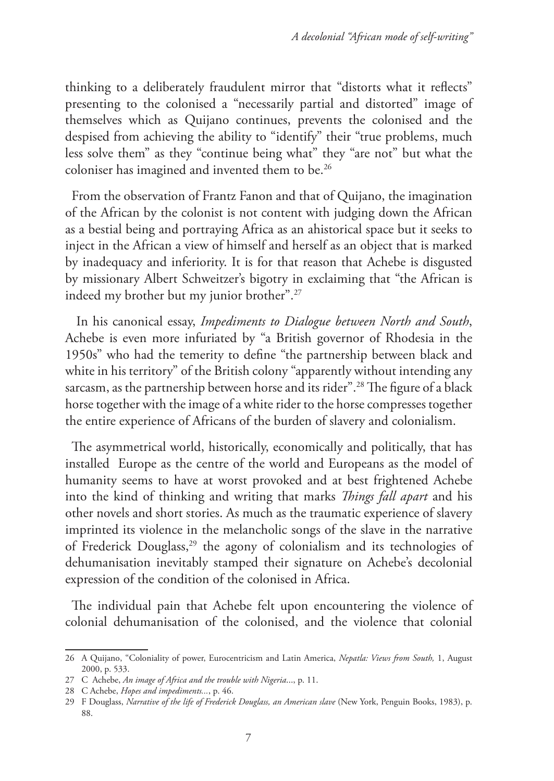thinking to a deliberately fraudulent mirror that "distorts what it reflects" presenting to the colonised a "necessarily partial and distorted" image of themselves which as Quijano continues, prevents the colonised and the despised from achieving the ability to "identify" their "true problems, much less solve them" as they "continue being what" they "are not" but what the coloniser has imagined and invented them to be.26

From the observation of Frantz Fanon and that of Quijano, the imagination of the African by the colonist is not content with judging down the African as a bestial being and portraying Africa as an ahistorical space but it seeks to inject in the African a view of himself and herself as an object that is marked by inadequacy and inferiority. It is for that reason that Achebe is disgusted by missionary Albert Schweitzer's bigotry in exclaiming that "the African is indeed my brother but my junior brother".27

 In his canonical essay, *Impediments to Dialogue between North and South*, Achebe is even more infuriated by "a British governor of Rhodesia in the 1950s" who had the temerity to define "the partnership between black and white in his territory" of the British colony "apparently without intending any sarcasm, as the partnership between horse and its rider".28 The figure of a black horse together with the image of a white rider to the horse compresses together the entire experience of Africans of the burden of slavery and colonialism.

The asymmetrical world, historically, economically and politically, that has installed Europe as the centre of the world and Europeans as the model of humanity seems to have at worst provoked and at best frightened Achebe into the kind of thinking and writing that marks *Things fall apart* and his other novels and short stories. As much as the traumatic experience of slavery imprinted its violence in the melancholic songs of the slave in the narrative of Frederick Douglass,<sup>29</sup> the agony of colonialism and its technologies of dehumanisation inevitably stamped their signature on Achebe's decolonial expression of the condition of the colonised in Africa.

The individual pain that Achebe felt upon encountering the violence of colonial dehumanisation of the colonised, and the violence that colonial

<sup>26</sup> A Quijano, "Coloniality of power, Eurocentricism and Latin America, *Nepatla: Views from South,* 1, August 2000, p. 533.

<sup>27</sup> C Achebe, *An image of Africa and the trouble with Nigeria*..., p. 11.

<sup>28</sup> C Achebe, *Hopes and impediments...*, p. 46.

<sup>29</sup> F Douglass, *Narrative of the life of Frederick Douglass, an American slave* (New York, Penguin Books, 1983), p. 88.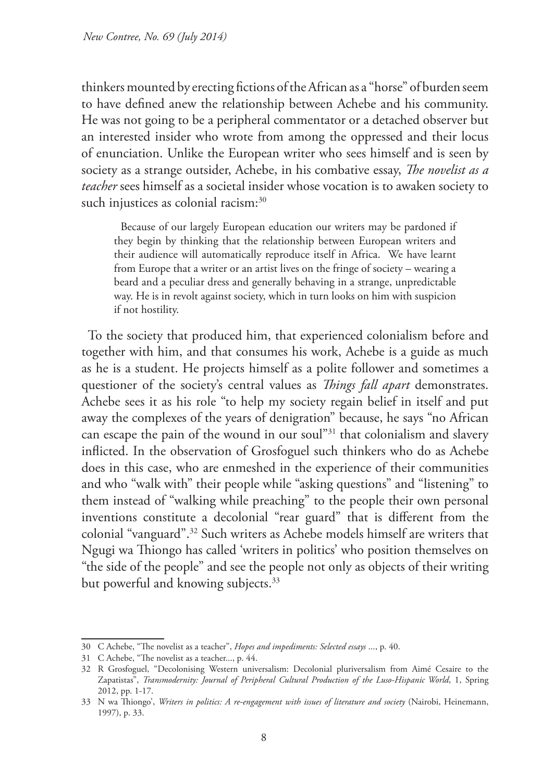thinkers mounted by erecting fictions of the African as a "horse" of burden seem to have defined anew the relationship between Achebe and his community. He was not going to be a peripheral commentator or a detached observer but an interested insider who wrote from among the oppressed and their locus of enunciation. Unlike the European writer who sees himself and is seen by society as a strange outsider, Achebe, in his combative essay, *The novelist as a teacher* sees himself as a societal insider whose vocation is to awaken society to such injustices as colonial racism:<sup>30</sup>

Because of our largely European education our writers may be pardoned if they begin by thinking that the relationship between European writers and their audience will automatically reproduce itself in Africa. We have learnt from Europe that a writer or an artist lives on the fringe of society – wearing a beard and a peculiar dress and generally behaving in a strange, unpredictable way. He is in revolt against society, which in turn looks on him with suspicion if not hostility.

To the society that produced him, that experienced colonialism before and together with him, and that consumes his work, Achebe is a guide as much as he is a student. He projects himself as a polite follower and sometimes a questioner of the society's central values as *Things fall apart* demonstrates. Achebe sees it as his role "to help my society regain belief in itself and put away the complexes of the years of denigration" because, he says "no African can escape the pain of the wound in our soul"<sup>31</sup> that colonialism and slavery inflicted. In the observation of Grosfoguel such thinkers who do as Achebe does in this case, who are enmeshed in the experience of their communities and who "walk with" their people while "asking questions" and "listening" to them instead of "walking while preaching" to the people their own personal inventions constitute a decolonial "rear guard" that is different from the colonial "vanguard".32 Such writers as Achebe models himself are writers that Ngugi wa Thiongo has called 'writers in politics' who position themselves on "the side of the people" and see the people not only as objects of their writing but powerful and knowing subjects.<sup>33</sup>

<sup>30</sup> C Achebe, "The novelist as a teacher", *Hopes and impediments: Selected essays* ..., p. 40.

<sup>31</sup> C Achebe, "The novelist as a teacher..., p. 44.

<sup>32</sup> R Grosfoguel, "Decolonising Western universalism: Decolonial pluriversalism from Aimé Cesaire to the Zapatistas", *Transmodernity: Journal of Peripheral Cultural Production of the Luso-Hispanic World*, 1, Spring 2012, pp. 1-17.

<sup>33</sup> N wa Thiongo', *Writers in politics: A re-engagement with issues of literature and society* (Nairobi, Heinemann, 1997), p. 33.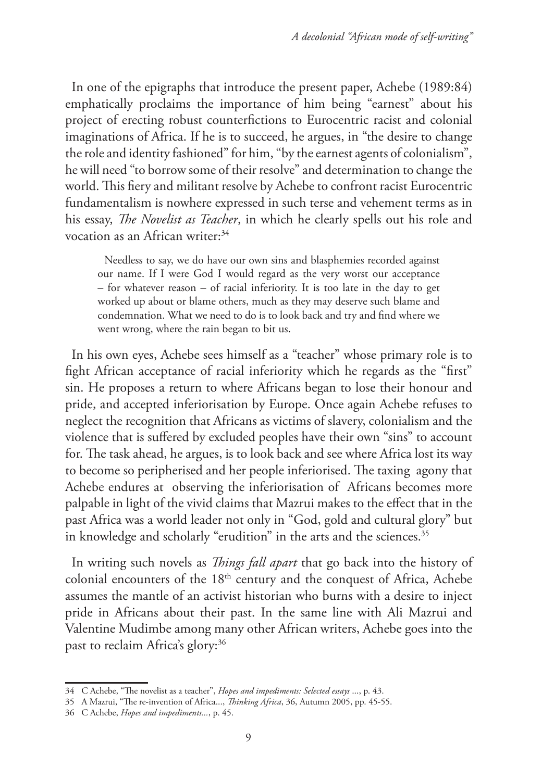In one of the epigraphs that introduce the present paper, Achebe (1989:84) emphatically proclaims the importance of him being "earnest" about his project of erecting robust counterfictions to Eurocentric racist and colonial imaginations of Africa. If he is to succeed, he argues, in "the desire to change the role and identity fashioned" for him, "by the earnest agents of colonialism", he will need "to borrow some of their resolve" and determination to change the world. This fiery and militant resolve by Achebe to confront racist Eurocentric fundamentalism is nowhere expressed in such terse and vehement terms as in his essay, *The Novelist as Teacher*, in which he clearly spells out his role and vocation as an African writer:<sup>34</sup>

Needless to say, we do have our own sins and blasphemies recorded against our name. If I were God I would regard as the very worst our acceptance – for whatever reason – of racial inferiority. It is too late in the day to get worked up about or blame others, much as they may deserve such blame and condemnation. What we need to do is to look back and try and find where we went wrong, where the rain began to bit us.

In his own eyes, Achebe sees himself as a "teacher" whose primary role is to fight African acceptance of racial inferiority which he regards as the "first" sin. He proposes a return to where Africans began to lose their honour and pride, and accepted inferiorisation by Europe. Once again Achebe refuses to neglect the recognition that Africans as victims of slavery, colonialism and the violence that is suffered by excluded peoples have their own "sins" to account for. The task ahead, he argues, is to look back and see where Africa lost its way to become so peripherised and her people inferiorised. The taxing agony that Achebe endures at observing the inferiorisation of Africans becomes more palpable in light of the vivid claims that Mazrui makes to the effect that in the past Africa was a world leader not only in "God, gold and cultural glory" but in knowledge and scholarly "erudition" in the arts and the sciences.<sup>35</sup>

In writing such novels as *Things fall apart* that go back into the history of colonial encounters of the 18<sup>th</sup> century and the conquest of Africa, Achebe assumes the mantle of an activist historian who burns with a desire to inject pride in Africans about their past. In the same line with Ali Mazrui and Valentine Mudimbe among many other African writers, Achebe goes into the past to reclaim Africa's glory:<sup>36</sup>

<sup>34</sup> C Achebe, "The novelist as a teacher", *Hopes and impediments: Selected essays* ..., p. 43.

<sup>35</sup> A Mazrui, "The re-invention of Africa..., *Thinking Africa*, 36, Autumn 2005, pp. 45-55.

<sup>36</sup> C Achebe, *Hopes and impediments...*, p. 45.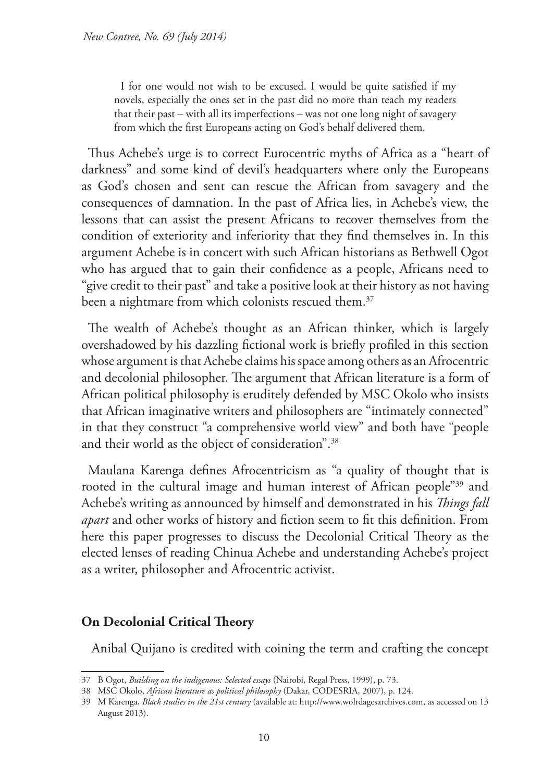I for one would not wish to be excused. I would be quite satisfied if my novels, especially the ones set in the past did no more than teach my readers that their past – with all its imperfections – was not one long night of savagery from which the first Europeans acting on God's behalf delivered them.

Thus Achebe's urge is to correct Eurocentric myths of Africa as a "heart of darkness" and some kind of devil's headquarters where only the Europeans as God's chosen and sent can rescue the African from savagery and the consequences of damnation. In the past of Africa lies, in Achebe's view, the lessons that can assist the present Africans to recover themselves from the condition of exteriority and inferiority that they find themselves in. In this argument Achebe is in concert with such African historians as Bethwell Ogot who has argued that to gain their confidence as a people, Africans need to "give credit to their past" and take a positive look at their history as not having been a nightmare from which colonists rescued them.<sup>37</sup>

The wealth of Achebe's thought as an African thinker, which is largely overshadowed by his dazzling fictional work is briefly profiled in this section whose argument is that Achebe claims his space among others as an Afrocentric and decolonial philosopher. The argument that African literature is a form of African political philosophy is eruditely defended by MSC Okolo who insists that African imaginative writers and philosophers are "intimately connected" in that they construct "a comprehensive world view" and both have "people and their world as the object of consideration".38

Maulana Karenga defines Afrocentricism as "a quality of thought that is rooted in the cultural image and human interest of African people"39 and Achebe's writing as announced by himself and demonstrated in his *Things fall apart* and other works of history and fiction seem to fit this definition. From here this paper progresses to discuss the Decolonial Critical Theory as the elected lenses of reading Chinua Achebe and understanding Achebe's project as a writer, philosopher and Afrocentric activist.

# **On Decolonial Critical Theory**

Anibal Quijano is credited with coining the term and crafting the concept

<sup>37</sup> B Ogot, *Building on the indigenous: Selected essays* (Nairobi, Regal Press, 1999), p. 73.

<sup>38</sup> MSC Okolo, *African literature as political philosophy* (Dakar, CODESRIA, 2007), p. 124.

<sup>39</sup> M Karenga, *Black studies in the 21st century* (available at: http://www.wolrdagesarchives.com, as accessed on 13 August 2013).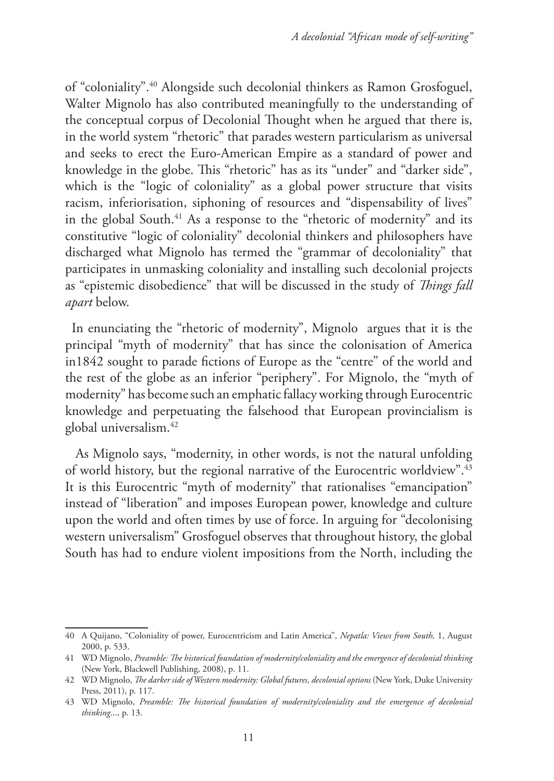of "coloniality".40 Alongside such decolonial thinkers as Ramon Grosfoguel, Walter Mignolo has also contributed meaningfully to the understanding of the conceptual corpus of Decolonial Thought when he argued that there is, in the world system "rhetoric" that parades western particularism as universal and seeks to erect the Euro-American Empire as a standard of power and knowledge in the globe. This "rhetoric" has as its "under" and "darker side", which is the "logic of coloniality" as a global power structure that visits racism, inferiorisation, siphoning of resources and "dispensability of lives" in the global South.41 As a response to the "rhetoric of modernity" and its constitutive "logic of coloniality" decolonial thinkers and philosophers have discharged what Mignolo has termed the "grammar of decoloniality" that participates in unmasking coloniality and installing such decolonial projects as "epistemic disobedience" that will be discussed in the study of *Things fall apart* below.

In enunciating the "rhetoric of modernity", Mignolo argues that it is the principal "myth of modernity" that has since the colonisation of America in1842 sought to parade fictions of Europe as the "centre" of the world and the rest of the globe as an inferior "periphery". For Mignolo, the "myth of modernity" has become such an emphatic fallacy working through Eurocentric knowledge and perpetuating the falsehood that European provincialism is global universalism.42

 As Mignolo says, "modernity, in other words, is not the natural unfolding of world history, but the regional narrative of the Eurocentric worldview".43 It is this Eurocentric "myth of modernity" that rationalises "emancipation" instead of "liberation" and imposes European power, knowledge and culture upon the world and often times by use of force. In arguing for "decolonising western universalism" Grosfoguel observes that throughout history, the global South has had to endure violent impositions from the North, including the

<sup>40</sup> A Quijano, "Coloniality of power, Eurocentricism and Latin America", *Nepatla: Views from South,* 1, August 2000, p. 533.

<sup>41</sup> WD Mignolo, *Preamble: The historical foundation of modernity/coloniality and the emergence of decolonial thinking* (New York, Blackwell Publishing, 2008), p. 11.

<sup>42</sup> WD Mignolo, *The darker side of Western modernity: Global futures, decolonial options* (New York, Duke University Press, 2011), p. 117.

<sup>43</sup> WD Mignolo, *Preamble: The historical foundation of modernity/coloniality and the emergence of decolonial thinking*..., p. 13.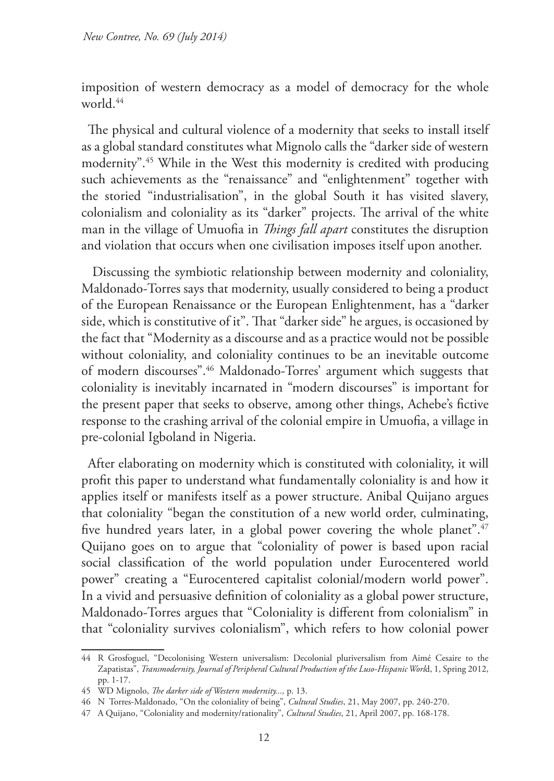imposition of western democracy as a model of democracy for the whole world.<sup>44</sup>

The physical and cultural violence of a modernity that seeks to install itself as a global standard constitutes what Mignolo calls the "darker side of western modernity".45 While in the West this modernity is credited with producing such achievements as the "renaissance" and "enlightenment" together with the storied "industrialisation", in the global South it has visited slavery, colonialism and coloniality as its "darker" projects. The arrival of the white man in the village of Umuofia in *Things fall apart* constitutes the disruption and violation that occurs when one civilisation imposes itself upon another.

 Discussing the symbiotic relationship between modernity and coloniality, Maldonado-Torres says that modernity, usually considered to being a product of the European Renaissance or the European Enlightenment, has a "darker side, which is constitutive of it". That "darker side" he argues, is occasioned by the fact that "Modernity as a discourse and as a practice would not be possible without coloniality, and coloniality continues to be an inevitable outcome of modern discourses".46 Maldonado-Torres' argument which suggests that coloniality is inevitably incarnated in "modern discourses" is important for the present paper that seeks to observe, among other things, Achebe's fictive response to the crashing arrival of the colonial empire in Umuofia, a village in pre-colonial Igboland in Nigeria.

After elaborating on modernity which is constituted with coloniality, it will profit this paper to understand what fundamentally coloniality is and how it applies itself or manifests itself as a power structure. Anibal Quijano argues that coloniality "began the constitution of a new world order, culminating, five hundred years later, in a global power covering the whole planet".<sup>47</sup> Quijano goes on to argue that "coloniality of power is based upon racial social classification of the world population under Eurocentered world power" creating a "Eurocentered capitalist colonial/modern world power". In a vivid and persuasive definition of coloniality as a global power structure, Maldonado-Torres argues that "Coloniality is different from colonialism" in that "coloniality survives colonialism", which refers to how colonial power

<sup>44</sup> R Grosfoguel, "Decolonising Western universalism: Decolonial pluriversalism from Aimé Cesaire to the Zapatistas", *Transmodernity, Journal of Peripheral Cultural Production of the Luso-Hispanic Worl*d, 1, Spring 2012, pp. 1-17.

<sup>45</sup> WD Mignolo, *The darker side of Western modernity...,* p. 13.

<sup>46</sup> N Torres-Maldonado, "On the coloniality of being", *Cultural Studies*, 21, May 2007, pp. 240-270.

<sup>47</sup> A Quijano, "Coloniality and modernity/rationality", *Cultural Studies*, 21, April 2007, pp. 168-178.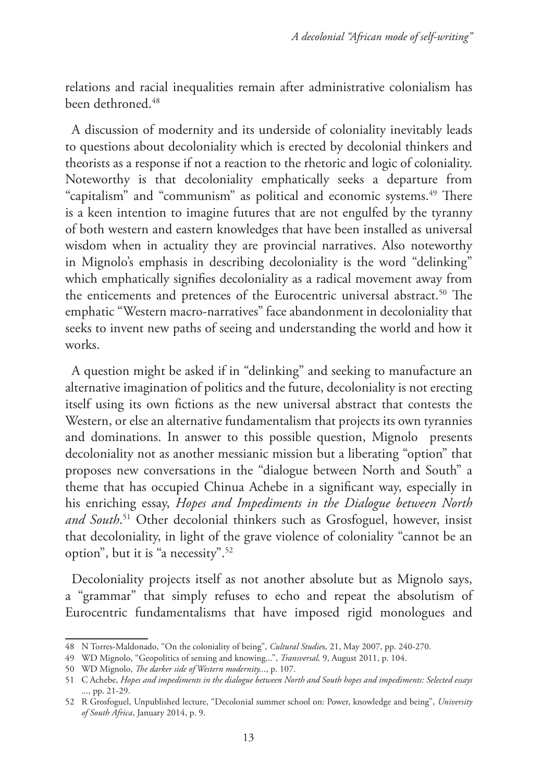relations and racial inequalities remain after administrative colonialism has been dethroned<sup>48</sup>

A discussion of modernity and its underside of coloniality inevitably leads to questions about decoloniality which is erected by decolonial thinkers and theorists as a response if not a reaction to the rhetoric and logic of coloniality. Noteworthy is that decoloniality emphatically seeks a departure from "capitalism" and "communism" as political and economic systems.<sup>49</sup> There is a keen intention to imagine futures that are not engulfed by the tyranny of both western and eastern knowledges that have been installed as universal wisdom when in actuality they are provincial narratives. Also noteworthy in Mignolo's emphasis in describing decoloniality is the word "delinking" which emphatically signifies decoloniality as a radical movement away from the enticements and pretences of the Eurocentric universal abstract.<sup>50</sup> The emphatic "Western macro-narratives" face abandonment in decoloniality that seeks to invent new paths of seeing and understanding the world and how it works.

A question might be asked if in "delinking" and seeking to manufacture an alternative imagination of politics and the future, decoloniality is not erecting itself using its own fictions as the new universal abstract that contests the Western, or else an alternative fundamentalism that projects its own tyrannies and dominations. In answer to this possible question, Mignolo presents decoloniality not as another messianic mission but a liberating "option" that proposes new conversations in the "dialogue between North and South" a theme that has occupied Chinua Achebe in a significant way, especially in his enriching essay, *Hopes and Impediments in the Dialogue between North and South*. 51 Other decolonial thinkers such as Grosfoguel, however, insist that decoloniality, in light of the grave violence of coloniality "cannot be an option", but it is "a necessity".52

Decoloniality projects itself as not another absolute but as Mignolo says, a "grammar" that simply refuses to echo and repeat the absolutism of Eurocentric fundamentalisms that have imposed rigid monologues and

<sup>48</sup> N Torres-Maldonado, "On the coloniality of being", *Cultural Studie*s, 21, May 2007, pp. 240-270.

<sup>49</sup> WD Mignolo, "Geopolitics of sensing and knowing...", *Transversal,* 9, August 2011, p. 104.

<sup>50</sup> WD Mignolo, *The darker side of Western modernity..*., p. 107.

<sup>51</sup> C Achebe, *Hopes and impediments in the dialogue between North and South hopes and impediments: Selected essays* ..., pp. 21-29.

<sup>52</sup> R Grosfoguel, Unpublished lecture, "Decolonial summer school on: Power, knowledge and being", *University of South Africa*, January 2014, p. 9.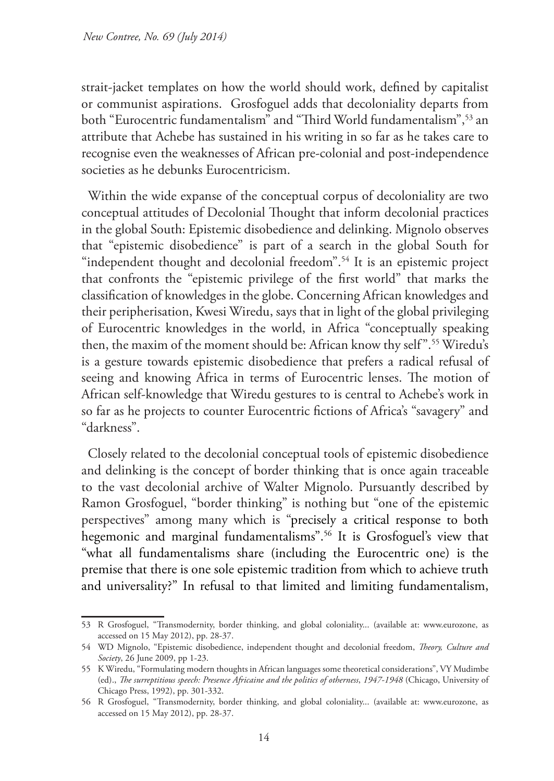strait-jacket templates on how the world should work, defined by capitalist or communist aspirations. Grosfoguel adds that decoloniality departs from both "Eurocentric fundamentalism" and "Third World fundamentalism",<sup>53</sup> an attribute that Achebe has sustained in his writing in so far as he takes care to recognise even the weaknesses of African pre-colonial and post-independence societies as he debunks Eurocentricism.

Within the wide expanse of the conceptual corpus of decoloniality are two conceptual attitudes of Decolonial Thought that inform decolonial practices in the global South: Epistemic disobedience and delinking. Mignolo observes that "epistemic disobedience" is part of a search in the global South for "independent thought and decolonial freedom".<sup>54</sup> It is an epistemic project that confronts the "epistemic privilege of the first world" that marks the classification of knowledges in the globe. Concerning African knowledges and their peripherisation, Kwesi Wiredu, says that in light of the global privileging of Eurocentric knowledges in the world, in Africa "conceptually speaking then, the maxim of the moment should be: African know thy self".55 Wiredu's is a gesture towards epistemic disobedience that prefers a radical refusal of seeing and knowing Africa in terms of Eurocentric lenses. The motion of African self-knowledge that Wiredu gestures to is central to Achebe's work in so far as he projects to counter Eurocentric fictions of Africa's "savagery" and "darkness".

Closely related to the decolonial conceptual tools of epistemic disobedience and delinking is the concept of border thinking that is once again traceable to the vast decolonial archive of Walter Mignolo. Pursuantly described by Ramon Grosfoguel, "border thinking" is nothing but "one of the epistemic perspectives" among many which is "precisely a critical response to both hegemonic and marginal fundamentalisms".56 It is Grosfoguel's view that "what all fundamentalisms share (including the Eurocentric one) is the premise that there is one sole epistemic tradition from which to achieve truth and universality?" In refusal to that limited and limiting fundamentalism,

<sup>53</sup> R Grosfoguel, "Transmodernity, border thinking, and global coloniality... (available at: www.eurozone, as accessed on 15 May 2012), pp. 28-37.

<sup>54</sup> WD Mignolo, "Epistemic disobedience, independent thought and decolonial freedom, *Theory, Culture and Society*, 26 June 2009, pp 1-23.

<sup>55</sup> K Wiredu, "Formulating modern thoughts in African languages some theoretical considerations", VY Mudimbe (ed)., *The surreptitious speech: Presence Africaine and the politics of otherness*, *1947-1948* (Chicago, University of Chicago Press, 1992), pp. 301-332.

<sup>56</sup> R Grosfoguel, "Transmodernity, border thinking, and global coloniality... (available at: www.eurozone, as accessed on 15 May 2012), pp. 28-37.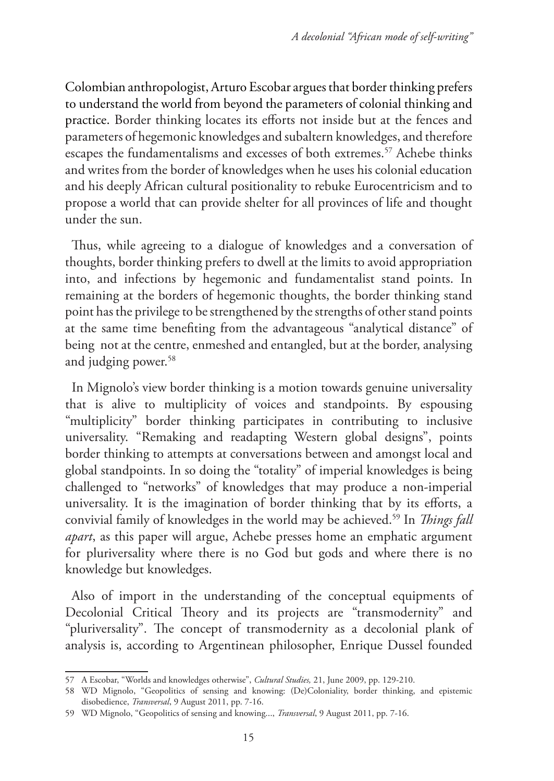Colombian anthropologist, Arturo Escobar argues that border thinking prefers to understand the world from beyond the parameters of colonial thinking and practice. Border thinking locates its efforts not inside but at the fences and parameters of hegemonic knowledges and subaltern knowledges, and therefore escapes the fundamentalisms and excesses of both extremes.<sup>57</sup> Achebe thinks and writes from the border of knowledges when he uses his colonial education and his deeply African cultural positionality to rebuke Eurocentricism and to propose a world that can provide shelter for all provinces of life and thought under the sun.

Thus, while agreeing to a dialogue of knowledges and a conversation of thoughts, border thinking prefers to dwell at the limits to avoid appropriation into, and infections by hegemonic and fundamentalist stand points. In remaining at the borders of hegemonic thoughts, the border thinking stand point has the privilege to be strengthened by the strengths of other stand points at the same time benefiting from the advantageous "analytical distance" of being not at the centre, enmeshed and entangled, but at the border, analysing and judging power.<sup>58</sup>

In Mignolo's view border thinking is a motion towards genuine universality that is alive to multiplicity of voices and standpoints. By espousing "multiplicity" border thinking participates in contributing to inclusive universality. "Remaking and readapting Western global designs", points border thinking to attempts at conversations between and amongst local and global standpoints. In so doing the "totality" of imperial knowledges is being challenged to "networks" of knowledges that may produce a non-imperial universality. It is the imagination of border thinking that by its efforts, a convivial family of knowledges in the world may be achieved.59 In *Things fall apart*, as this paper will argue, Achebe presses home an emphatic argument for pluriversality where there is no God but gods and where there is no knowledge but knowledges.

Also of import in the understanding of the conceptual equipments of Decolonial Critical Theory and its projects are "transmodernity" and "pluriversality". The concept of transmodernity as a decolonial plank of analysis is, according to Argentinean philosopher, Enrique Dussel founded

<sup>57</sup> A Escobar, "Worlds and knowledges otherwise", *Cultural Studies,* 21, June 2009, pp. 129-210.

<sup>58</sup> WD Mignolo, "Geopolitics of sensing and knowing: (De)Coloniality, border thinking, and epistemic disobedience, *Transversal*, 9 August 2011, pp. 7-16.

<sup>59</sup> WD Mignolo, "Geopolitics of sensing and knowing..., *Transversal*, 9 August 2011, pp. 7-16.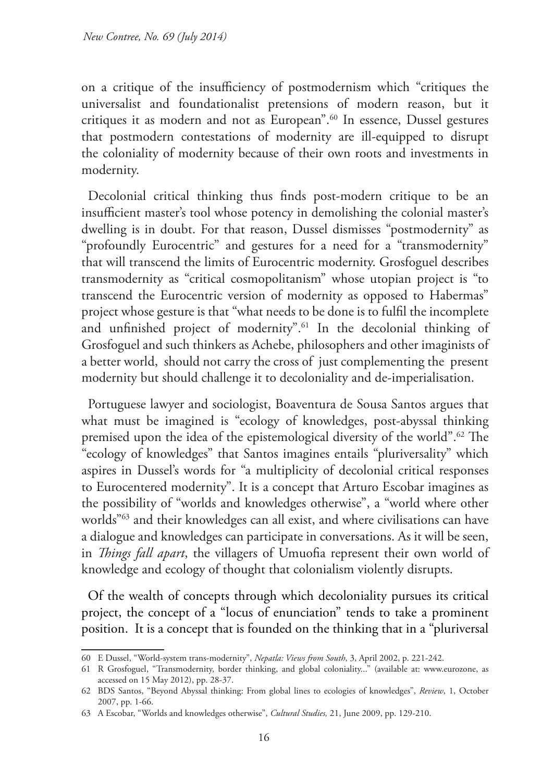on a critique of the insufficiency of postmodernism which "critiques the universalist and foundationalist pretensions of modern reason, but it critiques it as modern and not as European".60 In essence, Dussel gestures that postmodern contestations of modernity are ill-equipped to disrupt the coloniality of modernity because of their own roots and investments in modernity.

Decolonial critical thinking thus finds post-modern critique to be an insufficient master's tool whose potency in demolishing the colonial master's dwelling is in doubt. For that reason, Dussel dismisses "postmodernity" as "profoundly Eurocentric" and gestures for a need for a "transmodernity" that will transcend the limits of Eurocentric modernity. Grosfoguel describes transmodernity as "critical cosmopolitanism" whose utopian project is "to transcend the Eurocentric version of modernity as opposed to Habermas" project whose gesture is that "what needs to be done is to fulfil the incomplete and unfinished project of modernity".<sup>61</sup> In the decolonial thinking of Grosfoguel and such thinkers as Achebe, philosophers and other imaginists of a better world, should not carry the cross of just complementing the present modernity but should challenge it to decoloniality and de-imperialisation.

Portuguese lawyer and sociologist, Boaventura de Sousa Santos argues that what must be imagined is "ecology of knowledges, post-abyssal thinking premised upon the idea of the epistemological diversity of the world".62 The "ecology of knowledges" that Santos imagines entails "pluriversality" which aspires in Dussel's words for "a multiplicity of decolonial critical responses to Eurocentered modernity". It is a concept that Arturo Escobar imagines as the possibility of "worlds and knowledges otherwise", a "world where other worlds"63 and their knowledges can all exist, and where civilisations can have a dialogue and knowledges can participate in conversations. As it will be seen, in *Things fall apart*, the villagers of Umuofia represent their own world of knowledge and ecology of thought that colonialism violently disrupts.

Of the wealth of concepts through which decoloniality pursues its critical project, the concept of a "locus of enunciation" tends to take a prominent position. It is a concept that is founded on the thinking that in a "pluriversal

<sup>60</sup> E Dussel, "World-system trans-modernity", *Nepatla: Views from South*, 3, April 2002, p. 221-242.

<sup>61</sup> R Grosfoguel, "Transmodernity, border thinking, and global coloniality..." (available at: www.eurozone, as accessed on 15 May 2012), pp. 28-37.

<sup>62</sup> BDS Santos, "Beyond Abyssal thinking: From global lines to ecologies of knowledges", *Review*, 1, October 2007, pp. 1-66.

<sup>63</sup> A Escobar, "Worlds and knowledges otherwise", *Cultural Studies,* 21, June 2009, pp. 129-210.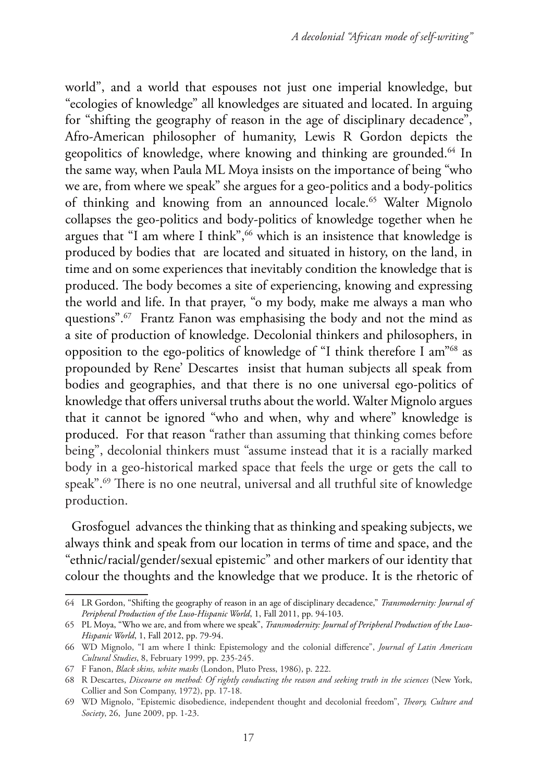world", and a world that espouses not just one imperial knowledge, but "ecologies of knowledge" all knowledges are situated and located. In arguing for "shifting the geography of reason in the age of disciplinary decadence", Afro-American philosopher of humanity, Lewis R Gordon depicts the geopolitics of knowledge, where knowing and thinking are grounded.<sup>64</sup> In the same way, when Paula ML Moya insists on the importance of being "who we are, from where we speak" she argues for a geo-politics and a body-politics of thinking and knowing from an announced locale.<sup>65</sup> Walter Mignolo collapses the geo-politics and body-politics of knowledge together when he argues that "I am where I think",<sup>66</sup> which is an insistence that knowledge is produced by bodies that are located and situated in history, on the land, in time and on some experiences that inevitably condition the knowledge that is produced. The body becomes a site of experiencing, knowing and expressing the world and life. In that prayer, "o my body, make me always a man who questions".67 Frantz Fanon was emphasising the body and not the mind as a site of production of knowledge. Decolonial thinkers and philosophers, in opposition to the ego-politics of knowledge of "I think therefore I am"68 as propounded by Rene' Descartes insist that human subjects all speak from bodies and geographies, and that there is no one universal ego-politics of knowledge that offers universal truths about the world. Walter Mignolo argues that it cannot be ignored "who and when, why and where" knowledge is produced. For that reason "rather than assuming that thinking comes before being", decolonial thinkers must "assume instead that it is a racially marked body in a geo-historical marked space that feels the urge or gets the call to speak".69 There is no one neutral, universal and all truthful site of knowledge production.

Grosfoguel advances the thinking that as thinking and speaking subjects, we always think and speak from our location in terms of time and space, and the "ethnic/racial/gender/sexual epistemic" and other markers of our identity that colour the thoughts and the knowledge that we produce. It is the rhetoric of

<sup>64</sup> LR Gordon, "Shifting the geography of reason in an age of disciplinary decadence," *Transmodernity: Journal of Peripheral Production of the Luso-Hispanic World*, 1, Fall 2011, pp. 94-103.

<sup>65</sup> PL Moya, "Who we are, and from where we speak", *Transmodernity: Journal of Peripheral Production of the Luso-Hispanic World*, 1, Fall 2012, pp. 79-94.

<sup>66</sup> WD Mignolo, "I am where I think: Epistemology and the colonial difference", *Journal of Latin American Cultural Studies*, 8, February 1999, pp. 235-245.

<sup>67</sup> F Fanon, *Black skins, white masks* (London, Pluto Press, 1986), p. 222.

<sup>68</sup> R Descartes, *Discourse on method: Of rightly conducting the reason and seeking truth in the sciences* (New York, Collier and Son Company, 1972), pp. 17-18.

<sup>69</sup> WD Mignolo, "Epistemic disobedience, independent thought and decolonial freedom", *Theory, Culture and Society*, 26, June 2009, pp. 1-23.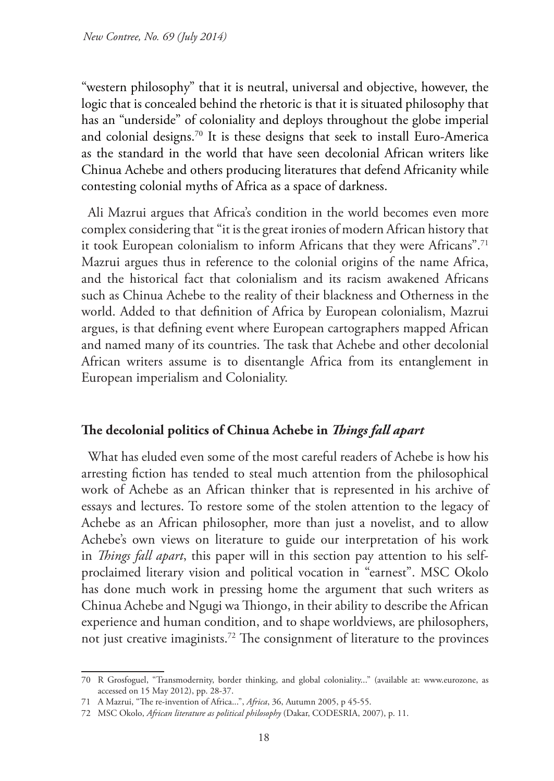"western philosophy" that it is neutral, universal and objective, however, the logic that is concealed behind the rhetoric is that it is situated philosophy that has an "underside" of coloniality and deploys throughout the globe imperial and colonial designs.70 It is these designs that seek to install Euro-America as the standard in the world that have seen decolonial African writers like Chinua Achebe and others producing literatures that defend Africanity while contesting colonial myths of Africa as a space of darkness.

Ali Mazrui argues that Africa's condition in the world becomes even more complex considering that "it is the great ironies of modern African history that it took European colonialism to inform Africans that they were Africans".71 Mazrui argues thus in reference to the colonial origins of the name Africa, and the historical fact that colonialism and its racism awakened Africans such as Chinua Achebe to the reality of their blackness and Otherness in the world. Added to that definition of Africa by European colonialism, Mazrui argues, is that defining event where European cartographers mapped African and named many of its countries. The task that Achebe and other decolonial African writers assume is to disentangle Africa from its entanglement in European imperialism and Coloniality.

# **The decolonial politics of Chinua Achebe in** *Things fall apart*

What has eluded even some of the most careful readers of Achebe is how his arresting fiction has tended to steal much attention from the philosophical work of Achebe as an African thinker that is represented in his archive of essays and lectures. To restore some of the stolen attention to the legacy of Achebe as an African philosopher, more than just a novelist, and to allow Achebe's own views on literature to guide our interpretation of his work in *Things fall apart*, this paper will in this section pay attention to his selfproclaimed literary vision and political vocation in "earnest". MSC Okolo has done much work in pressing home the argument that such writers as Chinua Achebe and Ngugi wa Thiongo, in their ability to describe the African experience and human condition, and to shape worldviews, are philosophers, not just creative imaginists.72 The consignment of literature to the provinces

<sup>70</sup> R Grosfoguel, "Transmodernity, border thinking, and global coloniality..." (available at: www.eurozone, as accessed on 15 May 2012), pp. 28-37.

<sup>71</sup> A Mazrui, "The re-invention of Africa...", *Africa*, 36, Autumn 2005, p 45-55.

<sup>72</sup> MSC Okolo, *African literature as political philosophy* (Dakar, CODESRIA, 2007), p. 11.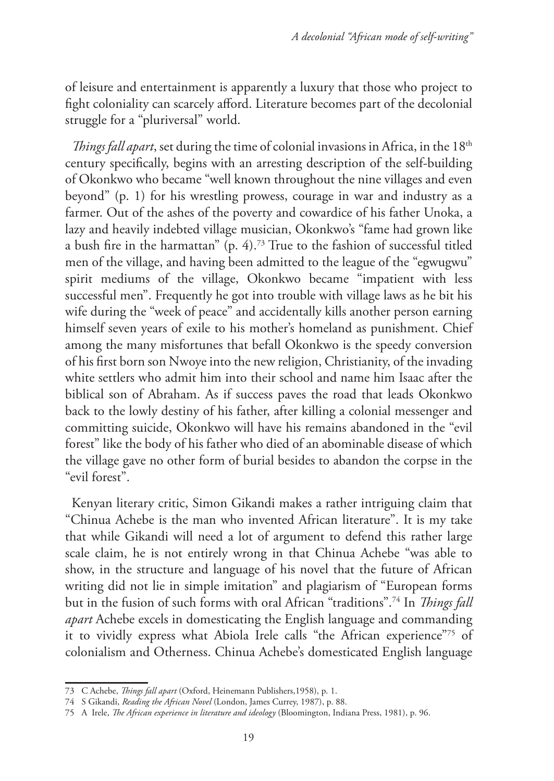of leisure and entertainment is apparently a luxury that those who project to fight coloniality can scarcely afford. Literature becomes part of the decolonial struggle for a "pluriversal" world.

*Things fall apart*, set during the time of colonial invasions in Africa, in the 18<sup>th</sup> century specifically, begins with an arresting description of the self-building of Okonkwo who became "well known throughout the nine villages and even beyond" (p. 1) for his wrestling prowess, courage in war and industry as a farmer. Out of the ashes of the poverty and cowardice of his father Unoka, a lazy and heavily indebted village musician, Okonkwo's "fame had grown like a bush fire in the harmattan" (p. 4).73 True to the fashion of successful titled men of the village, and having been admitted to the league of the "egwugwu" spirit mediums of the village, Okonkwo became "impatient with less successful men". Frequently he got into trouble with village laws as he bit his wife during the "week of peace" and accidentally kills another person earning himself seven years of exile to his mother's homeland as punishment. Chief among the many misfortunes that befall Okonkwo is the speedy conversion of his first born son Nwoye into the new religion, Christianity, of the invading white settlers who admit him into their school and name him Isaac after the biblical son of Abraham. As if success paves the road that leads Okonkwo back to the lowly destiny of his father, after killing a colonial messenger and committing suicide, Okonkwo will have his remains abandoned in the "evil forest" like the body of his father who died of an abominable disease of which the village gave no other form of burial besides to abandon the corpse in the "evil forest".

Kenyan literary critic, Simon Gikandi makes a rather intriguing claim that "Chinua Achebe is the man who invented African literature". It is my take that while Gikandi will need a lot of argument to defend this rather large scale claim, he is not entirely wrong in that Chinua Achebe "was able to show, in the structure and language of his novel that the future of African writing did not lie in simple imitation" and plagiarism of "European forms but in the fusion of such forms with oral African "traditions".74 In *Things fall apart* Achebe excels in domesticating the English language and commanding it to vividly express what Abiola Irele calls "the African experience"75 of colonialism and Otherness. Chinua Achebe's domesticated English language

<sup>73</sup> C Achebe, *Things fall apart* (Oxford, Heinemann Publishers,1958), p. 1.

<sup>74</sup> S Gikandi, *Reading the African Novel* (London, James Currey, 1987), p. 88.

<sup>75</sup> A Irele, *The African experience in literature and ideology* (Bloomington, Indiana Press, 1981), p. 96.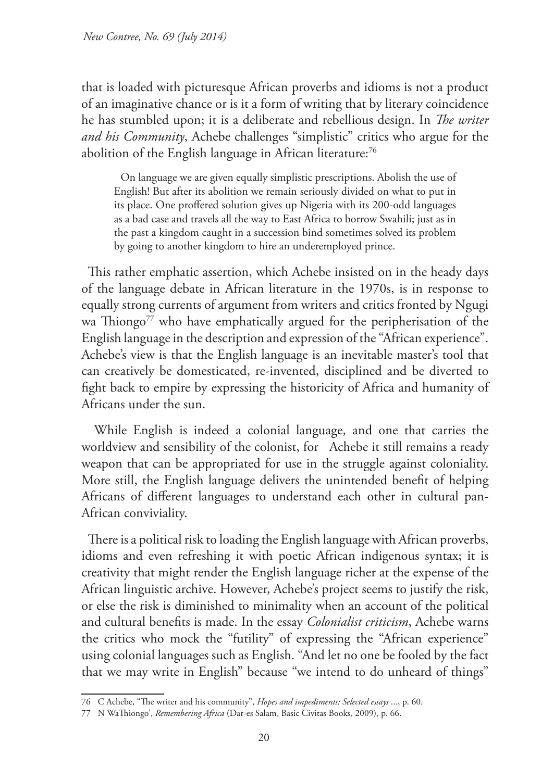that is loaded with picturesque African proverbs and idioms is not a product of an imaginative chance or is it a form of writing that by literary coincidence he has stumbled upon; it is a deliberate and rebellious design. In *The writer and his Community*, Achebe challenges "simplistic" critics who argue for the abolition of the English language in African literature:<sup>76</sup>

On language we are given equally simplistic prescriptions. Abolish the use of English! But after its abolition we remain seriously divided on what to put in its place. One proffered solution gives up Nigeria with its 200-odd languages as a bad case and travels all the way to East Africa to borrow Swahili; just as in the past a kingdom caught in a succession bind sometimes solved its problem by going to another kingdom to hire an underemployed prince.

This rather emphatic assertion, which Achebe insisted on in the heady days of the language debate in African literature in the 1970s, is in response to equally strong currents of argument from writers and critics fronted by Ngugi wa Thiongo<sup>77</sup> who have emphatically argued for the peripherisation of the English language in the description and expression of the "African experience". Achebe's view is that the English language is an inevitable master's tool that can creatively be domesticated, re-invented, disciplined and be diverted to fight back to empire by expressing the historicity of Africa and humanity of Africans under the sun.

 While English is indeed a colonial language, and one that carries the worldview and sensibility of the colonist, for Achebe it still remains a ready weapon that can be appropriated for use in the struggle against coloniality. More still, the English language delivers the unintended benefit of helping Africans of different languages to understand each other in cultural pan-African conviviality.

There is a political risk to loading the English language with African proverbs, idioms and even refreshing it with poetic African indigenous syntax; it is creativity that might render the English language richer at the expense of the African linguistic archive. However, Achebe's project seems to justify the risk, or else the risk is diminished to minimality when an account of the political and cultural benefits is made. In the essay *Colonialist criticism*, Achebe warns the critics who mock the "futility" of expressing the "African experience" using colonial languages such as English. "And let no one be fooled by the fact that we may write in English" because "we intend to do unheard of things"

<sup>76</sup> C Achebe, "The writer and his community", *Hopes and impediments: Selected essays* ..., p. 60.

<sup>77</sup> N WaThiongo', *Remembering Africa* (Dar-es Salam, Basic Civitas Books, 2009), p. 66.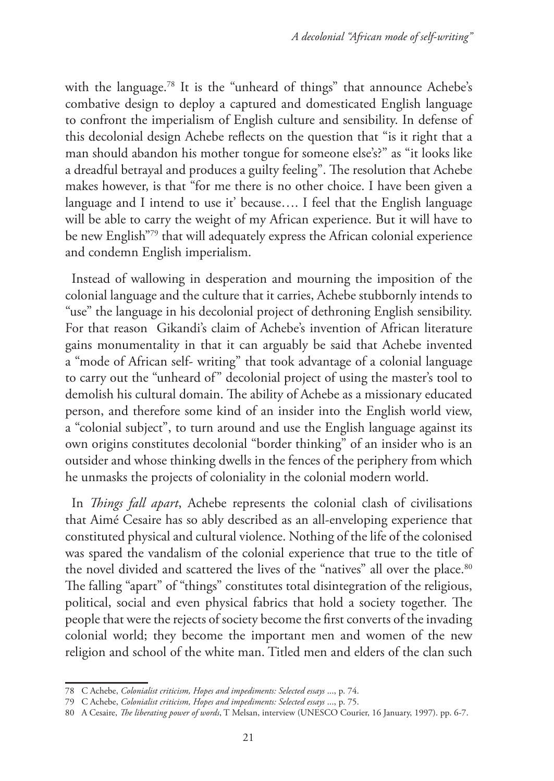with the language.<sup>78</sup> It is the "unheard of things" that announce Achebe's combative design to deploy a captured and domesticated English language to confront the imperialism of English culture and sensibility. In defense of this decolonial design Achebe reflects on the question that "is it right that a man should abandon his mother tongue for someone else's?" as "it looks like a dreadful betrayal and produces a guilty feeling". The resolution that Achebe makes however, is that "for me there is no other choice. I have been given a language and I intend to use it' because…. I feel that the English language will be able to carry the weight of my African experience. But it will have to be new English"79 that will adequately express the African colonial experience and condemn English imperialism.

Instead of wallowing in desperation and mourning the imposition of the colonial language and the culture that it carries, Achebe stubbornly intends to "use" the language in his decolonial project of dethroning English sensibility. For that reason Gikandi's claim of Achebe's invention of African literature gains monumentality in that it can arguably be said that Achebe invented a "mode of African self- writing" that took advantage of a colonial language to carry out the "unheard of" decolonial project of using the master's tool to demolish his cultural domain. The ability of Achebe as a missionary educated person, and therefore some kind of an insider into the English world view, a "colonial subject", to turn around and use the English language against its own origins constitutes decolonial "border thinking" of an insider who is an outsider and whose thinking dwells in the fences of the periphery from which he unmasks the projects of coloniality in the colonial modern world.

In *Things fall apart*, Achebe represents the colonial clash of civilisations that Aimé Cesaire has so ably described as an all-enveloping experience that constituted physical and cultural violence. Nothing of the life of the colonised was spared the vandalism of the colonial experience that true to the title of the novel divided and scattered the lives of the "natives" all over the place.<sup>80</sup> The falling "apart" of "things" constitutes total disintegration of the religious, political, social and even physical fabrics that hold a society together. The people that were the rejects of society become the first converts of the invading colonial world; they become the important men and women of the new religion and school of the white man. Titled men and elders of the clan such

<sup>78</sup> C Achebe, *Colonialist criticism, Hopes and impediments: Selected essays* ..., p. 74.

<sup>79</sup> C Achebe, *Colonialist criticism, Hopes and impediments: Selected essays* ..., p. 75.

<sup>80</sup> A Cesaire, *The liberating power of words*, T Melsan, interview (UNESCO Courier, 16 January, 1997). pp. 6-7.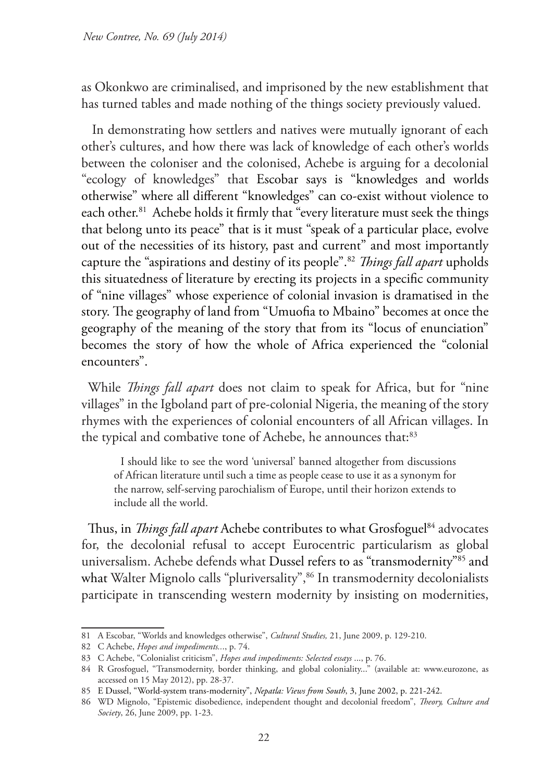as Okonkwo are criminalised, and imprisoned by the new establishment that has turned tables and made nothing of the things society previously valued.

 In demonstrating how settlers and natives were mutually ignorant of each other's cultures, and how there was lack of knowledge of each other's worlds between the coloniser and the colonised, Achebe is arguing for a decolonial "ecology of knowledges" that Escobar says is "knowledges and worlds otherwise" where all different "knowledges" can co-exist without violence to each other.<sup>81</sup> Achebe holds it firmly that "every literature must seek the things that belong unto its peace" that is it must "speak of a particular place, evolve out of the necessities of its history, past and current" and most importantly capture the "aspirations and destiny of its people".82 *Things fall apart* upholds this situatedness of literature by erecting its projects in a specific community of "nine villages" whose experience of colonial invasion is dramatised in the story. The geography of land from "Umuofia to Mbaino" becomes at once the geography of the meaning of the story that from its "locus of enunciation" becomes the story of how the whole of Africa experienced the "colonial encounters".

While *Things fall apart* does not claim to speak for Africa, but for "nine villages" in the Igboland part of pre-colonial Nigeria, the meaning of the story rhymes with the experiences of colonial encounters of all African villages. In the typical and combative tone of Achebe, he announces that:<sup>83</sup>

I should like to see the word 'universal' banned altogether from discussions of African literature until such a time as people cease to use it as a synonym for the narrow, self-serving parochialism of Europe, until their horizon extends to include all the world.

Thus, in *Things fall apart* Achebe contributes to what Grosfoguel<sup>84</sup> advocates for, the decolonial refusal to accept Eurocentric particularism as global universalism. Achebe defends what Dussel refers to as "transmodernity"85 and what Walter Mignolo calls "pluriversality",<sup>86</sup> In transmodernity decolonialists participate in transcending western modernity by insisting on modernities,

<sup>81</sup> A Escobar, "Worlds and knowledges otherwise", *Cultural Studies,* 21, June 2009, p. 129-210.

<sup>82</sup> C Achebe, *Hopes and impediments..*., p. 74.

<sup>83</sup> C Achebe, "Colonialist criticism", *Hopes and impediments: Selected essays* ..., p. 76.

<sup>84</sup> R Grosfoguel, "Transmodernity, border thinking, and global coloniality..." (available at: www.eurozone, as accessed on 15 May 2012), pp. 28-37.

<sup>85</sup> E Dussel, "World-system trans-modernity", *Nepatla: Views from South*, 3, June 2002, p. 221-242.

<sup>86</sup> WD Mignolo, "Epistemic disobedience, independent thought and decolonial freedom", *Theory, Culture and Society*, 26, June 2009, pp. 1-23.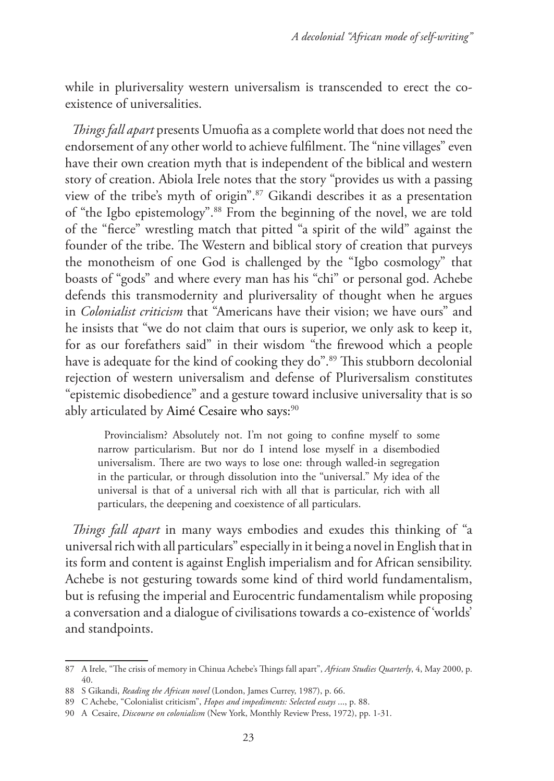while in pluriversality western universalism is transcended to erect the coexistence of universalities.

*Things fall apart* presents Umuofia as a complete world that does not need the endorsement of any other world to achieve fulfilment. The "nine villages" even have their own creation myth that is independent of the biblical and western story of creation. Abiola Irele notes that the story "provides us with a passing view of the tribe's myth of origin".87 Gikandi describes it as a presentation of "the Igbo epistemology".88 From the beginning of the novel, we are told of the "fierce" wrestling match that pitted "a spirit of the wild" against the founder of the tribe. The Western and biblical story of creation that purveys the monotheism of one God is challenged by the "Igbo cosmology" that boasts of "gods" and where every man has his "chi" or personal god. Achebe defends this transmodernity and pluriversality of thought when he argues in *Colonialist criticism* that "Americans have their vision; we have ours" and he insists that "we do not claim that ours is superior, we only ask to keep it, for as our forefathers said" in their wisdom "the firewood which a people have is adequate for the kind of cooking they do".<sup>89</sup> This stubborn decolonial rejection of western universalism and defense of Pluriversalism constitutes "epistemic disobedience" and a gesture toward inclusive universality that is so ably articulated by Aimé Cesaire who says:<sup>90</sup>

Provincialism? Absolutely not. I'm not going to confine myself to some narrow particularism. But nor do I intend lose myself in a disembodied universalism. There are two ways to lose one: through walled-in segregation in the particular, or through dissolution into the "universal." My idea of the universal is that of a universal rich with all that is particular, rich with all particulars, the deepening and coexistence of all particulars.

*Things fall apart* in many ways embodies and exudes this thinking of "a universal rich with all particulars" especially in it being a novel in English that in its form and content is against English imperialism and for African sensibility. Achebe is not gesturing towards some kind of third world fundamentalism, but is refusing the imperial and Eurocentric fundamentalism while proposing a conversation and a dialogue of civilisations towards a co-existence of 'worlds' and standpoints.

<sup>87</sup> A Irele, "The crisis of memory in Chinua Achebe's Things fall apart", *African Studies Quarterly*, 4, May 2000, p. 40.

<sup>88</sup> S Gikandi, *Reading the African novel* (London, James Currey, 1987), p. 66.

<sup>89</sup> C Achebe, "Colonialist criticism", *Hopes and impediments: Selected essays* ..., p. 88.

<sup>90</sup> A Cesaire, *Discourse on colonialism* (New York, Monthly Review Press, 1972), pp. 1-31.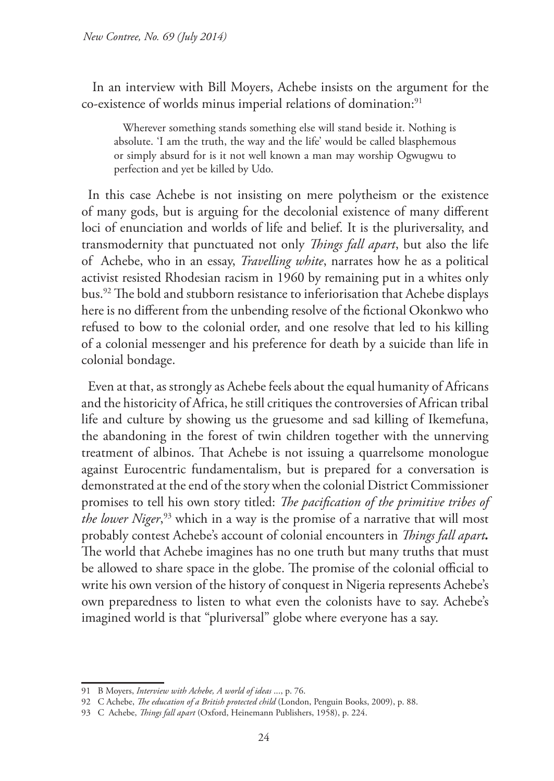In an interview with Bill Moyers, Achebe insists on the argument for the co-existence of worlds minus imperial relations of domination:<sup>91</sup>

Wherever something stands something else will stand beside it. Nothing is absolute. 'I am the truth, the way and the life' would be called blasphemous or simply absurd for is it not well known a man may worship Ogwugwu to perfection and yet be killed by Udo.

In this case Achebe is not insisting on mere polytheism or the existence of many gods, but is arguing for the decolonial existence of many different loci of enunciation and worlds of life and belief. It is the pluriversality, and transmodernity that punctuated not only *Things fall apart*, but also the life of Achebe, who in an essay, *Travelling white*, narrates how he as a political activist resisted Rhodesian racism in 1960 by remaining put in a whites only bus.92 The bold and stubborn resistance to inferiorisation that Achebe displays here is no different from the unbending resolve of the fictional Okonkwo who refused to bow to the colonial order, and one resolve that led to his killing of a colonial messenger and his preference for death by a suicide than life in colonial bondage.

Even at that, as strongly as Achebe feels about the equal humanity of Africans and the historicity of Africa, he still critiques the controversies of African tribal life and culture by showing us the gruesome and sad killing of Ikemefuna, the abandoning in the forest of twin children together with the unnerving treatment of albinos. That Achebe is not issuing a quarrelsome monologue against Eurocentric fundamentalism, but is prepared for a conversation is demonstrated at the end of the story when the colonial District Commissioner promises to tell his own story titled: *The pacification of the primitive tribes of the lower Niger*, <sup>93</sup> which in a way is the promise of a narrative that will most probably contest Achebe's account of colonial encounters in *Things fall apart.*  The world that Achebe imagines has no one truth but many truths that must be allowed to share space in the globe. The promise of the colonial official to write his own version of the history of conquest in Nigeria represents Achebe's own preparedness to listen to what even the colonists have to say. Achebe's imagined world is that "pluriversal" globe where everyone has a say.

<sup>91</sup> B Moyers, *Interview with Achebe, A world of ideas* ..., p. 76.

<sup>92</sup> C Achebe, *The education of a British protected child* (London, Penguin Books, 2009), p. 88.

<sup>93</sup> C Achebe, *Things fall apart* (Oxford, Heinemann Publishers, 1958), p. 224.